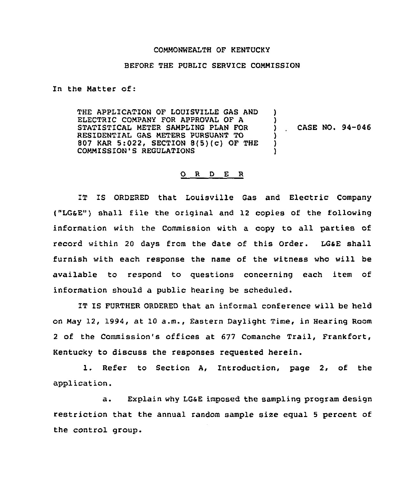## COMMONWEALTH OF KENTUCKY

## BEFORE THE PUBLIC SERVICE COMMISSION

In the Matter of:

THE APPLICATION OF LOUISVILLE GAS AND ELECTRIC COMPANY FOR APPROVAL OF A STATISTICAL METER SAMPLING PLAN FOR RESIDENTIAL GAS METERS PURSUANT TO 807 KAR 5:022, SECTION 8(5)(c) OF THE COMMISS10N'S REGULATIONS )  $)$  CASE NO. 94-046 ) ) )

## 0 <sup>R</sup> <sup>D</sup> <sup>E</sup> <sup>R</sup>

IT IS ORDERED that Louisville Gas and Electric Company ("LGSE") shall file the original and 12 copies of the following information with the Commission with a copy to all parties of record within 20 days from the date of this Order. LGsE shall furnish with each response the name of the witness who will be available to respond to questions concerning each item of information should a public hearing be scheduled.

IT IS FURTHER ORDERED that an informal conference will be held on May 12, 1994, at 10 a.m., Eastern Daylight Time, in Hearing Room <sup>2</sup> of the Commission's offices at 677 Comanche Trail, Frankfort, Kentucky to discuss the responses requested herein.

1. Refer to Section A, Introduction, page 2, of the application.

a. Explain why LGsE imposed the sampling program design restriction that the annual random sample size equal <sup>5</sup> percent of the control group.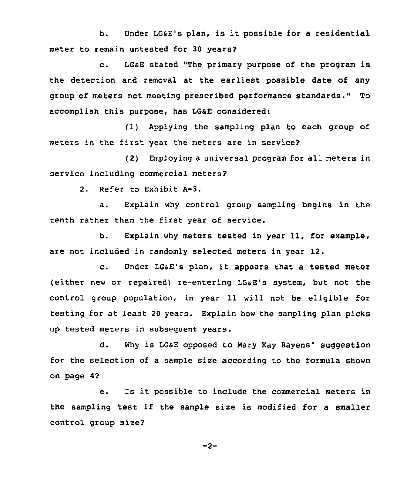b. Under LG&E's plan, is it possible for <sup>a</sup> residential meter to remain untested for 30 years?

c. LG&E stated "The primary purpose of the program is the detection and removal at the earliest possible date of any group of meters not meeting prescribed performance standards." To accomplish this purpose, has LG&E considered:

(1) Applying the sampling plan to each group of meters in the first year the meters are in service?

(2) Employing <sup>a</sup> universal program for all meters in service including commercial meters?

2. Refer to Exhibit A-3.

a. Explain why control group sampling begins in the tenth rather than the first year of service.

b. Explain why meters tested in year 11, for example, are not included in randomly selected meters in year 12.

c. Under LG&E's plan, it appears that <sup>a</sup> tested meter (either new or repaired) re-entering LG&E's system, but not the control group population, in year 11 will not be eligible for testing for at least 20 years. Explain how the sampling plan picks up tested meters in subsequent years.

d. Why is LG&E opposed to Mary Kay Rayens' suggestion for the selection of a sample size according to the formula shown on page 4?

e. Is it possible to include the commercial meters in the sampling test if the sample size is modified for <sup>a</sup> smaller control group size?

 $-2-$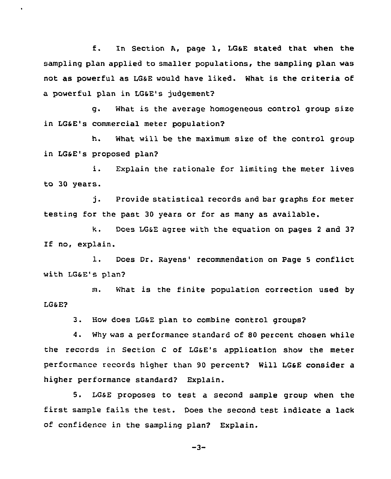f. In Section A, page 1, LGSE stated that when the sampling plan applied to smaller populations, the sampling plan was not as powerful as LGaE would have liked. What is the criteria of a powerful plan in LG&E's judgement?

g. What is the average homogeneous control group size in LG6E's commercial meter population?

h. What will be the maximum size of the control group in LG&E's proposed plan?

i. Explain the rationale for limiting the meter lives to 30 years.

j. Provide statistical records and bar graphs for meter testing for the past 30 years or for as many as available.

k. Does LGSE agree with the eguation on pages <sup>2</sup> and 3? If no, explain.

1. Does Dr. Rayens' recommendation on Page 5 conflict with LG&E's plan?

m. What is the finite population correction used by LG&E?

3. How does LGsE plan to combine control groups?

4. Why was a performance standard of 80 percent chosen while the records in Section <sup>C</sup> of LGSE's application show the meter performance records higher than 90 percent? Will LGsE consider a higher performance standard? Explain.

5. LGsE proposes to test a second sample group when the first sample fails the test. Does the second test indicate a lack of confidence in the sampling plan? Explain.

 $-3-$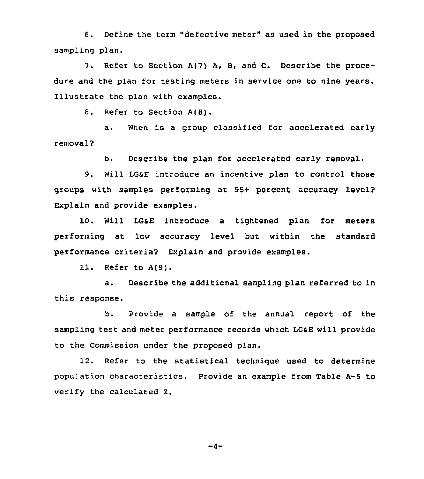6. Define the term "defective meter" as used in the proposed sampling plan.

7. Refer to Section A(7) A, B, and C. Describe the procedure and the plan for testing meters in service one to nine years. Illustrate the plan with examples.

8. Refer to Section A(8).

a. When is a group classified for accelerated early removal?

b. Describe the plan for accelerated early removal.

9. Will LGSE introduce an incentive plan to control those groups with samples performing at 95+ percent accuracy level? Explain and provide examples.

10. Will LGaE introduce a tightened plan for meters performing at low accuracy level but within the standard performance criteria? Explain and provide examples.

11. Refer to A(9).

a. Describe the additional sampling plan referred to in this response.

b. Provide a sample of the annual report of the sampling test and meter performance records which LGsE will provide to the Commission under the proposed plan.

12. Refer to the statistical technigue used to determine population characteristics. Provide an example from Table A-5 to verify the calculated Z.

 $-4-$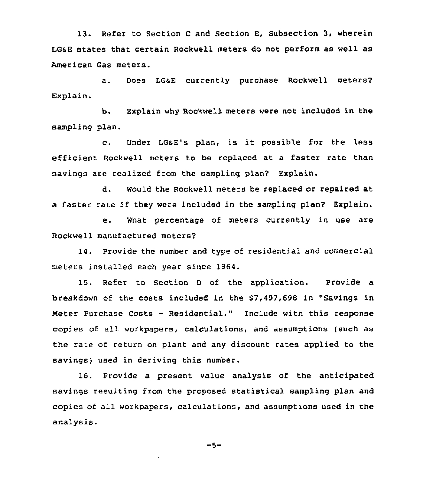13. Refer to Section <sup>C</sup> and Section E, Subsection 3, wherein LGsE states that certain Rockwell meters do not perform as well as American Gas meters.

a. Does LGSE currently purchase Rockwell meters? Explain.

b. Explain why Rockwell meters were not included in the sampling plan.

c. Under LGsE's plan, is it possible for the less efficient Rockwell meters to be replaced at a faster rate than savings are realized from the sampling plan? Explain.

d. Would the Rockwell meters be replaced or repaired at a faster rate if they were included in the sampling plan2 Explain.

e. What percentage of meters currently in use are Rockwell manufactured meters2

14. Provide the number and type of residential and commercial meters installed each year since 1964.

15. Refer to Section <sup>D</sup> of the application. Provide a breakdown of the costs included in the \$7,497,698 in "Savings in Meter Purchase Costs — Residential." 1nclude with this response copies of all workpapers, calculations, and assumptions (such as the rate of return on plant and any discount rates applied to the savings) used in deriving this number.

16. Provide a present value analysis of the anticipated savings resulting from the proposed statistical sampling plan and copies of all workpapers, calculations, and assumptions used in the analysis.

$$
-5-
$$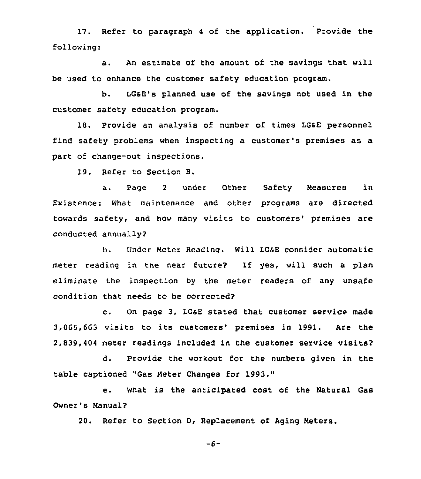17. Refer to paragraph <sup>4</sup> of the application. Provide the following:

a. An estimate of the amount of the savings that will be used to enhance the customer safety education program.

b. LGsE's planned use of the savings not used in the customer safety education program.

18. Provide an analysis of number of times LGSE personnel find safety problems when inspecting a customer's premises as a part of change-out inspections.

19. Refer to Section B.

a. Page <sup>2</sup> under Other Safety Measures in Existence: What maintenance and other programs are directed towards safety, and how many visits to customers' premises are conducted annually?

b. Under Meter Reading. Will LGSE consider automatic meter reading in the near future? Xf yes, will such a plan eliminate the inspection by the meter readers of any unsafe condition that needs to be corrected?

c. On page 3, LGaE stated that customer service made 3,065,663 visits to its customers' premises in 1991. Are the 2,839,404 meter readings included in the customer service visits?

d. Provide the workout for the numbers given in the table captioned "Gas Meter Changes for 1993."

e. What is the anticipated cost of the Natural Gas Owner's Manual?

20. Refer to Section D, Replacement of Aging Meters.

 $-6-$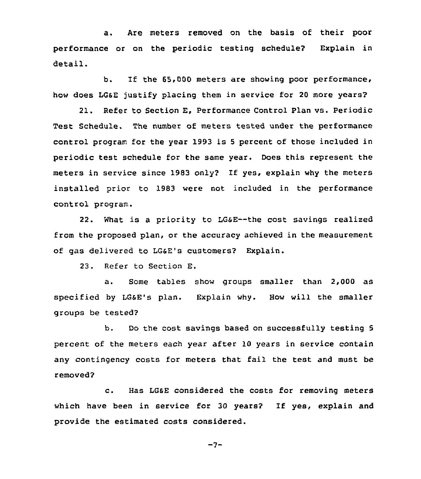a. Are meters removed on the basis of their poor performance or on the periodic testing schedule? Explain in detail.

b. If the 65,000 meters are showing poor performance, how does LGsE justify placing them in service for 20 more years?

21. Refer to Section E, Performance Control Plan vs. Periodic Test Schedule. The number of meters tested under the performance control program for the year 1993 is <sup>5</sup> percent of those included in periodic test schedule for the same year. Does this represent the meters in service since 1983 only? If yes, explain why the meters installed prior to 1983 were not included in the performance control program.

22. What is a priority to LG&E--the cost savings realized from the proposed plan, or the accuracy achieved in the measurement of gas delivered to LG&E's customers? Explain.

23. Refer to Section E.

a. Some tables show groups smaller than 2,000 as specified by LGSE's plan. Explain why. How will the smaller groups be tested?

b. Do the cost savings based on successfully testing <sup>5</sup> percent of the meters each year after 10 years in service contain any contingency costs for meters that fail the test and must be removed?

c. Has LG&E considered the costs for removing meters which have been in service for <sup>30</sup> years? If yes, explain and provide the estimated costs considered.

 $-7-$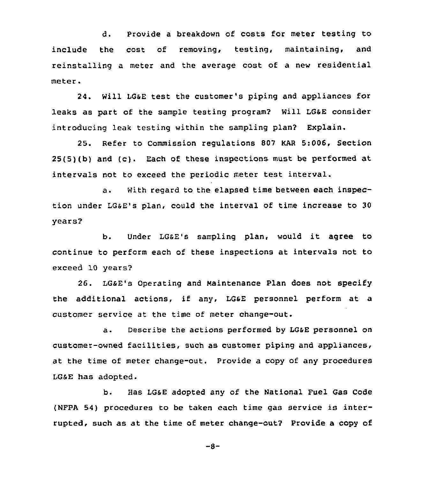d. Provide a breakdown of costs for meter testing to include the cost of removing, testing, maintaining, and reinstalling a meter and the average cost of a new residential meter.

24. Will LGsE test the customer's piping and appliances for leaks as part of the sample testing program? Will LGaE consider introducing leak testing within the sampling plan? Explain.

25. Refer to Commission regulations 807 KAR 5:006, Section 25(5)(b) and (c). Each of these inspections must be performed at intervals not to exceed the periodic meter test interval.

a. With regard to the elapsed time between each inspection under LGSE's plan, could the interval of time increase to 30 years?

b. Under LGsE's sampling plan, would it agree to continue to perform each of these inspections at intervals not to exceed 10 years?

26. LGsE's operating and Maintenance Plan does not specify the additional actions, if any, LGsE personnel perform at a customer service at the time of meter change-out.

a. Describe the actions performed by LG&E personnel on customer-owned facilities, such as customer piping and appliances, at the time of meter change-out. Provide a copy of any procedures LG&E has adopted.

b. Has LG&E adopted any of the National Fuel Gas Code (NFPA 54) procedures to be taken each time gas service is interrupted, such as at the time of meter change-out? Provide a copy of

 $-8-$